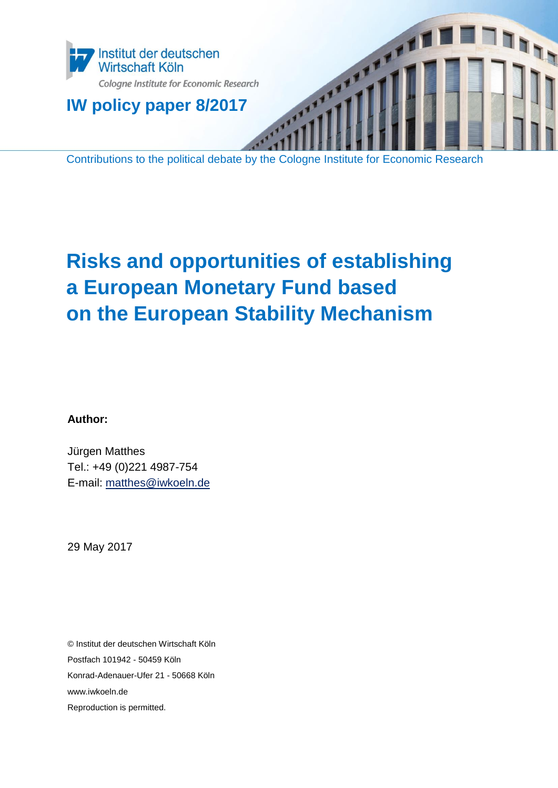

Contributions to the political debate by the Cologne Institute for Economic Research

# **Risks and opportunities of establishing a European Monetary Fund based on the European Stability Mechanism**

**Author:**

Jürgen Matthes Tel.: +49 (0)221 4987-754 E-mail: [matthes@iwkoeln.de](mailto:matthes@iwkoeln.de)

29 May 2017

© Institut der deutschen Wirtschaft Köln Postfach 101942 - 50459 Köln Konrad-Adenauer-Ufer 21 - 50668 Köln www.iwkoeln.de Reproduction is permitted.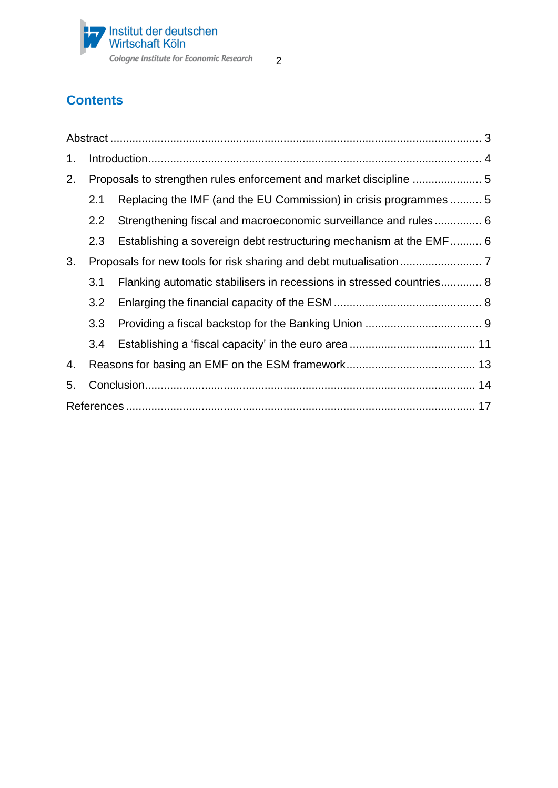

# **Contents**

| 1. |         |                                                                      |
|----|---------|----------------------------------------------------------------------|
| 2. |         |                                                                      |
|    | 2.1     | Replacing the IMF (and the EU Commission) in crisis programmes  5    |
|    | $2.2\,$ | Strengthening fiscal and macroeconomic surveillance and rules 6      |
|    | 2.3     | Establishing a sovereign debt restructuring mechanism at the EMF 6   |
| 3. |         |                                                                      |
|    | 3.1     | Flanking automatic stabilisers in recessions in stressed countries 8 |
|    | 3.2     |                                                                      |
|    | 3.3     |                                                                      |
|    | 3.4     |                                                                      |
| 4. |         |                                                                      |
| 5. |         |                                                                      |
|    |         |                                                                      |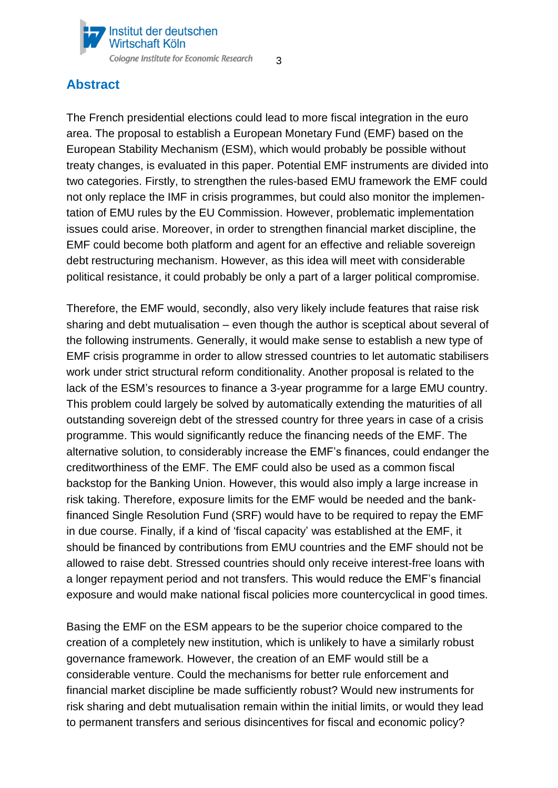

# <span id="page-2-0"></span>**Abstract**

The French presidential elections could lead to more fiscal integration in the euro area. The proposal to establish a European Monetary Fund (EMF) based on the European Stability Mechanism (ESM), which would probably be possible without treaty changes, is evaluated in this paper. Potential EMF instruments are divided into two categories. Firstly, to strengthen the rules-based EMU framework the EMF could not only replace the IMF in crisis programmes, but could also monitor the implementation of EMU rules by the EU Commission. However, problematic implementation issues could arise. Moreover, in order to strengthen financial market discipline, the EMF could become both platform and agent for an effective and reliable sovereign debt restructuring mechanism. However, as this idea will meet with considerable political resistance, it could probably be only a part of a larger political compromise.

Therefore, the EMF would, secondly, also very likely include features that raise risk sharing and debt mutualisation – even though the author is sceptical about several of the following instruments. Generally, it would make sense to establish a new type of EMF crisis programme in order to allow stressed countries to let automatic stabilisers work under strict structural reform conditionality. Another proposal is related to the lack of the ESM's resources to finance a 3-year programme for a large EMU country. This problem could largely be solved by automatically extending the maturities of all outstanding sovereign debt of the stressed country for three years in case of a crisis programme. This would significantly reduce the financing needs of the EMF. The alternative solution, to considerably increase the EMF's finances, could endanger the creditworthiness of the EMF. The EMF could also be used as a common fiscal backstop for the Banking Union. However, this would also imply a large increase in risk taking. Therefore, exposure limits for the EMF would be needed and the bankfinanced Single Resolution Fund (SRF) would have to be required to repay the EMF in due course. Finally, if a kind of 'fiscal capacity' was established at the EMF, it should be financed by contributions from EMU countries and the EMF should not be allowed to raise debt. Stressed countries should only receive interest-free loans with a longer repayment period and not transfers. This would reduce the EMF's financial exposure and would make national fiscal policies more countercyclical in good times.

Basing the EMF on the ESM appears to be the superior choice compared to the creation of a completely new institution, which is unlikely to have a similarly robust governance framework. However, the creation of an EMF would still be a considerable venture. Could the mechanisms for better rule enforcement and financial market discipline be made sufficiently robust? Would new instruments for risk sharing and debt mutualisation remain within the initial limits, or would they lead to permanent transfers and serious disincentives for fiscal and economic policy?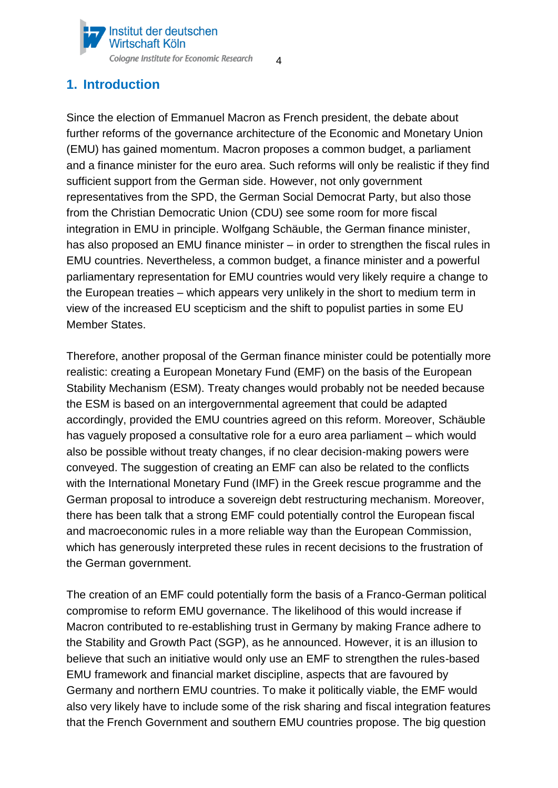

# <span id="page-3-0"></span>**1. Introduction**

Since the election of Emmanuel Macron as French president, the debate about further reforms of the governance architecture of the Economic and Monetary Union (EMU) has gained momentum. Macron proposes a common budget, a parliament and a finance minister for the euro area. Such reforms will only be realistic if they find sufficient support from the German side. However, not only government representatives from the SPD, the German Social Democrat Party, but also those from the Christian Democratic Union (CDU) see some room for more fiscal integration in EMU in principle. Wolfgang Schäuble, the German finance minister, has also proposed an EMU finance minister – in order to strengthen the fiscal rules in EMU countries. Nevertheless, a common budget, a finance minister and a powerful parliamentary representation for EMU countries would very likely require a change to the European treaties – which appears very unlikely in the short to medium term in view of the increased EU scepticism and the shift to populist parties in some EU Member States.

Therefore, another proposal of the German finance minister could be potentially more realistic: creating a European Monetary Fund (EMF) on the basis of the European Stability Mechanism (ESM). Treaty changes would probably not be needed because the ESM is based on an intergovernmental agreement that could be adapted accordingly, provided the EMU countries agreed on this reform. Moreover, Schäuble has vaguely proposed a consultative role for a euro area parliament – which would also be possible without treaty changes, if no clear decision-making powers were conveyed. The suggestion of creating an EMF can also be related to the conflicts with the International Monetary Fund (IMF) in the Greek rescue programme and the German proposal to introduce a sovereign debt restructuring mechanism. Moreover, there has been talk that a strong EMF could potentially control the European fiscal and macroeconomic rules in a more reliable way than the European Commission, which has generously interpreted these rules in recent decisions to the frustration of the German government.

The creation of an EMF could potentially form the basis of a Franco-German political compromise to reform EMU governance. The likelihood of this would increase if Macron contributed to re-establishing trust in Germany by making France adhere to the Stability and Growth Pact (SGP), as he announced. However, it is an illusion to believe that such an initiative would only use an EMF to strengthen the rules-based EMU framework and financial market discipline, aspects that are favoured by Germany and northern EMU countries. To make it politically viable, the EMF would also very likely have to include some of the risk sharing and fiscal integration features that the French Government and southern EMU countries propose. The big question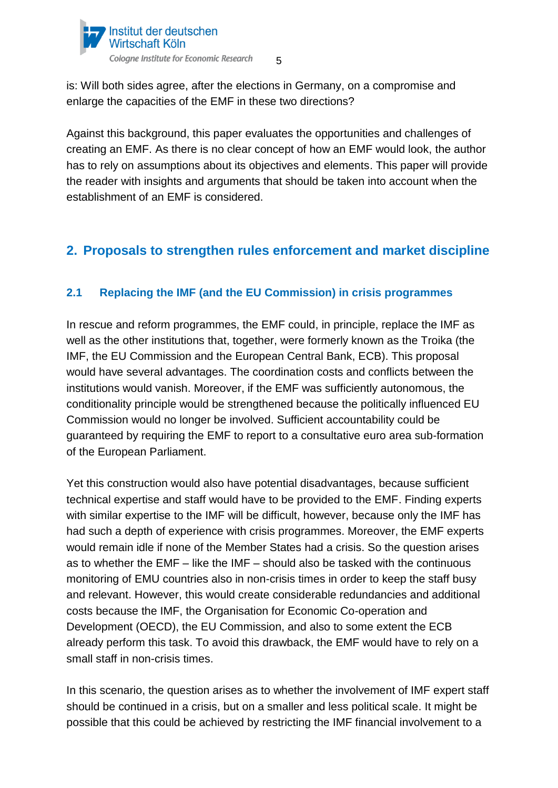

is: Will both sides agree, after the elections in Germany, on a compromise and enlarge the capacities of the EMF in these two directions?

Against this background, this paper evaluates the opportunities and challenges of creating an EMF. As there is no clear concept of how an EMF would look, the author has to rely on assumptions about its objectives and elements. This paper will provide the reader with insights and arguments that should be taken into account when the establishment of an EMF is considered.

# <span id="page-4-0"></span>**2. Proposals to strengthen rules enforcement and market discipline**

# <span id="page-4-1"></span>**2.1 Replacing the IMF (and the EU Commission) in crisis programmes**

In rescue and reform programmes, the EMF could, in principle, replace the IMF as well as the other institutions that, together, were formerly known as the Troika (the IMF, the EU Commission and the European Central Bank, ECB). This proposal would have several advantages. The coordination costs and conflicts between the institutions would vanish. Moreover, if the EMF was sufficiently autonomous, the conditionality principle would be strengthened because the politically influenced EU Commission would no longer be involved. Sufficient accountability could be guaranteed by requiring the EMF to report to a consultative euro area sub-formation of the European Parliament.

Yet this construction would also have potential disadvantages, because sufficient technical expertise and staff would have to be provided to the EMF. Finding experts with similar expertise to the IMF will be difficult, however, because only the IMF has had such a depth of experience with crisis programmes. Moreover, the EMF experts would remain idle if none of the Member States had a crisis. So the question arises as to whether the EMF – like the IMF – should also be tasked with the continuous monitoring of EMU countries also in non-crisis times in order to keep the staff busy and relevant. However, this would create considerable redundancies and additional costs because the IMF, the Organisation for Economic Co-operation and Development (OECD), the EU Commission, and also to some extent the ECB already perform this task. To avoid this drawback, the EMF would have to rely on a small staff in non-crisis times.

In this scenario, the question arises as to whether the involvement of IMF expert staff should be continued in a crisis, but on a smaller and less political scale. It might be possible that this could be achieved by restricting the IMF financial involvement to a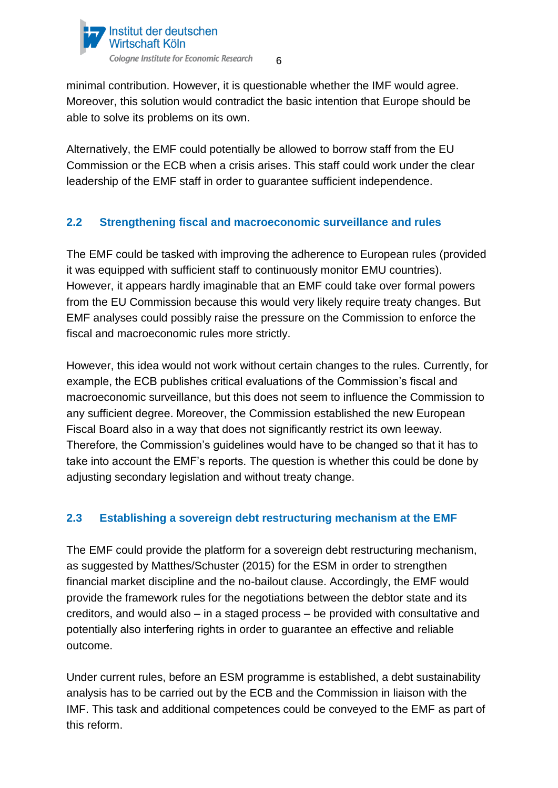

minimal contribution. However, it is questionable whether the IMF would agree. Moreover, this solution would contradict the basic intention that Europe should be able to solve its problems on its own.

Alternatively, the EMF could potentially be allowed to borrow staff from the EU Commission or the ECB when a crisis arises. This staff could work under the clear leadership of the EMF staff in order to guarantee sufficient independence.

# <span id="page-5-0"></span>**2.2 Strengthening fiscal and macroeconomic surveillance and rules**

The EMF could be tasked with improving the adherence to European rules (provided it was equipped with sufficient staff to continuously monitor EMU countries). However, it appears hardly imaginable that an EMF could take over formal powers from the EU Commission because this would very likely require treaty changes. But EMF analyses could possibly raise the pressure on the Commission to enforce the fiscal and macroeconomic rules more strictly.

However, this idea would not work without certain changes to the rules. Currently, for example, the ECB publishes critical evaluations of the Commission's fiscal and macroeconomic surveillance, but this does not seem to influence the Commission to any sufficient degree. Moreover, the Commission established the new European Fiscal Board also in a way that does not significantly restrict its own leeway. Therefore, the Commission's guidelines would have to be changed so that it has to take into account the EMF's reports. The question is whether this could be done by adjusting secondary legislation and without treaty change.

# <span id="page-5-1"></span>**2.3 Establishing a sovereign debt restructuring mechanism at the EMF**

The EMF could provide the platform for a sovereign debt restructuring mechanism, as suggested by Matthes/Schuster (2015) for the ESM in order to strengthen financial market discipline and the no-bailout clause. Accordingly, the EMF would provide the framework rules for the negotiations between the debtor state and its creditors, and would also – in a staged process – be provided with consultative and potentially also interfering rights in order to guarantee an effective and reliable outcome.

Under current rules, before an ESM programme is established, a debt sustainability analysis has to be carried out by the ECB and the Commission in liaison with the IMF. This task and additional competences could be conveyed to the EMF as part of this reform.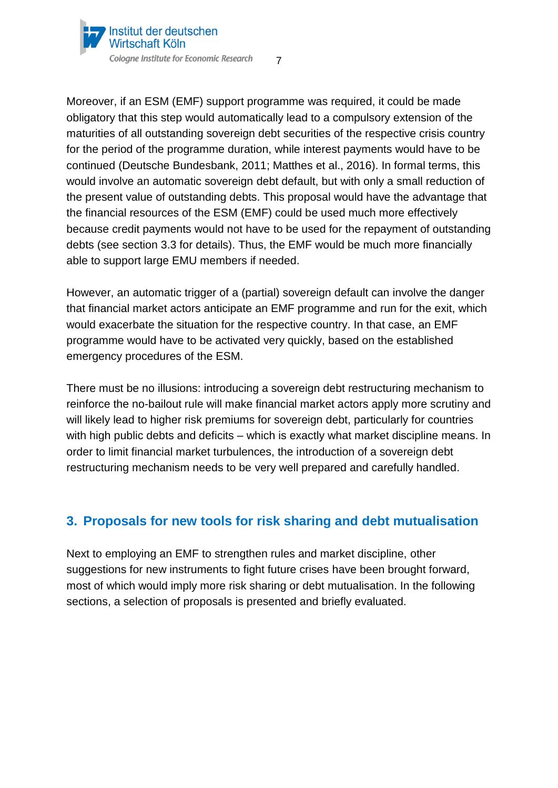

Moreover, if an ESM (EMF) support programme was required, it could be made obligatory that this step would automatically lead to a compulsory extension of the maturities of all outstanding sovereign debt securities of the respective crisis country for the period of the programme duration, while interest payments would have to be continued (Deutsche Bundesbank, 2011; Matthes et al., 2016). In formal terms, this would involve an automatic sovereign debt default, but with only a small reduction of the present value of outstanding debts. This proposal would have the advantage that the financial resources of the ESM (EMF) could be used much more effectively because credit payments would not have to be used for the repayment of outstanding debts (see section 3.3 for details). Thus, the EMF would be much more financially able to support large EMU members if needed.

However, an automatic trigger of a (partial) sovereign default can involve the danger that financial market actors anticipate an EMF programme and run for the exit, which would exacerbate the situation for the respective country. In that case, an EMF programme would have to be activated very quickly, based on the established emergency procedures of the ESM.

There must be no illusions: introducing a sovereign debt restructuring mechanism to reinforce the no-bailout rule will make financial market actors apply more scrutiny and will likely lead to higher risk premiums for sovereign debt, particularly for countries with high public debts and deficits – which is exactly what market discipline means. In order to limit financial market turbulences, the introduction of a sovereign debt restructuring mechanism needs to be very well prepared and carefully handled.

# <span id="page-6-0"></span>**3. Proposals for new tools for risk sharing and debt mutualisation**

Next to employing an EMF to strengthen rules and market discipline, other suggestions for new instruments to fight future crises have been brought forward, most of which would imply more risk sharing or debt mutualisation. In the following sections, a selection of proposals is presented and briefly evaluated.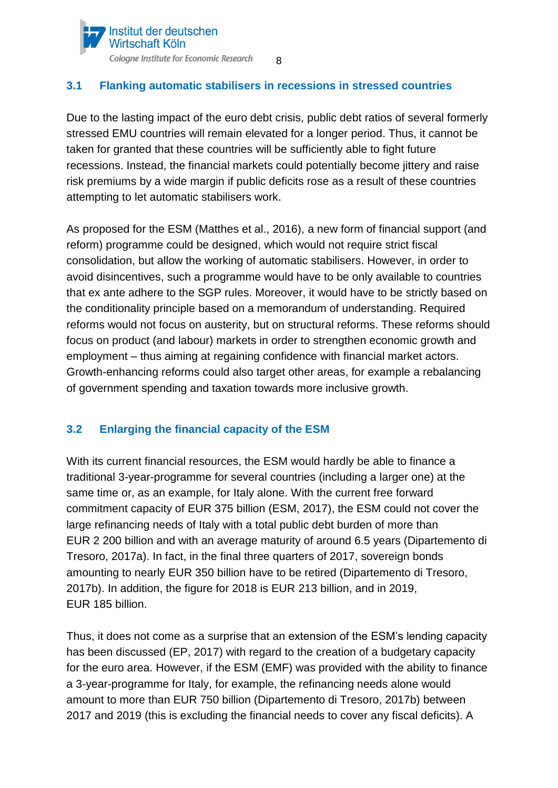

### <span id="page-7-0"></span>**3.1 Flanking automatic stabilisers in recessions in stressed countries**

Due to the lasting impact of the euro debt crisis, public debt ratios of several formerly stressed EMU countries will remain elevated for a longer period. Thus, it cannot be taken for granted that these countries will be sufficiently able to fight future recessions. Instead, the financial markets could potentially become jittery and raise risk premiums by a wide margin if public deficits rose as a result of these countries attempting to let automatic stabilisers work.

As proposed for the ESM (Matthes et al., 2016), a new form of financial support (and reform) programme could be designed, which would not require strict fiscal consolidation, but allow the working of automatic stabilisers. However, in order to avoid disincentives, such a programme would have to be only available to countries that ex ante adhere to the SGP rules. Moreover, it would have to be strictly based on the conditionality principle based on a memorandum of understanding. Required reforms would not focus on austerity, but on structural reforms. These reforms should focus on product (and labour) markets in order to strengthen economic growth and employment – thus aiming at regaining confidence with financial market actors. Growth-enhancing reforms could also target other areas, for example a rebalancing of government spending and taxation towards more inclusive growth.

### <span id="page-7-1"></span>**3.2 Enlarging the financial capacity of the ESM**

With its current financial resources, the ESM would hardly be able to finance a traditional 3-year-programme for several countries (including a larger one) at the same time or, as an example, for Italy alone. With the current free forward commitment capacity of EUR 375 billion (ESM, 2017), the ESM could not cover the large refinancing needs of Italy with a total public debt burden of more than EUR 2 200 billion and with an average maturity of around 6.5 years (Dipartemento di Tresoro, 2017a). In fact, in the final three quarters of 2017, sovereign bonds amounting to nearly EUR 350 billion have to be retired (Dipartemento di Tresoro, 2017b). In addition, the figure for 2018 is EUR 213 billion, and in 2019, EUR 185 billion.

Thus, it does not come as a surprise that an extension of the ESM's lending capacity has been discussed (EP, 2017) with regard to the creation of a budgetary capacity for the euro area. However, if the ESM (EMF) was provided with the ability to finance a 3-year-programme for Italy, for example, the refinancing needs alone would amount to more than EUR 750 billion (Dipartemento di Tresoro, 2017b) between 2017 and 2019 (this is excluding the financial needs to cover any fiscal deficits). A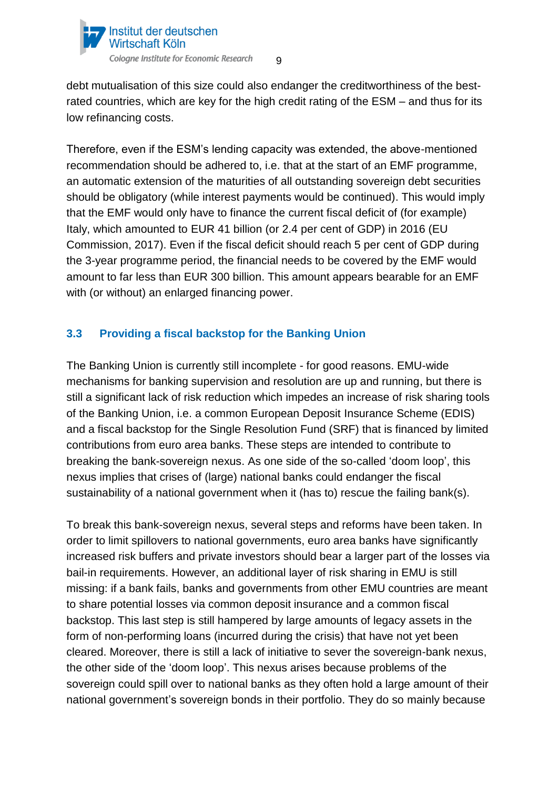

debt mutualisation of this size could also endanger the creditworthiness of the bestrated countries, which are key for the high credit rating of the ESM – and thus for its low refinancing costs.

Therefore, even if the ESM's lending capacity was extended, the above-mentioned recommendation should be adhered to, i.e. that at the start of an EMF programme, an automatic extension of the maturities of all outstanding sovereign debt securities should be obligatory (while interest payments would be continued). This would imply that the EMF would only have to finance the current fiscal deficit of (for example) Italy, which amounted to EUR 41 billion (or 2.4 per cent of GDP) in 2016 (EU Commission, 2017). Even if the fiscal deficit should reach 5 per cent of GDP during the 3-year programme period, the financial needs to be covered by the EMF would amount to far less than EUR 300 billion. This amount appears bearable for an EMF with (or without) an enlarged financing power.

# <span id="page-8-0"></span>**3.3 Providing a fiscal backstop for the Banking Union**

The Banking Union is currently still incomplete - for good reasons. EMU-wide mechanisms for banking supervision and resolution are up and running, but there is still a significant lack of risk reduction which impedes an increase of risk sharing tools of the Banking Union, i.e. a common European Deposit Insurance Scheme (EDIS) and a fiscal backstop for the Single Resolution Fund (SRF) that is financed by limited contributions from euro area banks. These steps are intended to contribute to breaking the bank-sovereign nexus. As one side of the so-called 'doom loop', this nexus implies that crises of (large) national banks could endanger the fiscal sustainability of a national government when it (has to) rescue the failing bank(s).

To break this bank-sovereign nexus, several steps and reforms have been taken. In order to limit spillovers to national governments, euro area banks have significantly increased risk buffers and private investors should bear a larger part of the losses via bail-in requirements. However, an additional layer of risk sharing in EMU is still missing: if a bank fails, banks and governments from other EMU countries are meant to share potential losses via common deposit insurance and a common fiscal backstop. This last step is still hampered by large amounts of legacy assets in the form of non-performing loans (incurred during the crisis) that have not yet been cleared. Moreover, there is still a lack of initiative to sever the sovereign-bank nexus, the other side of the 'doom loop'. This nexus arises because problems of the sovereign could spill over to national banks as they often hold a large amount of their national government's sovereign bonds in their portfolio. They do so mainly because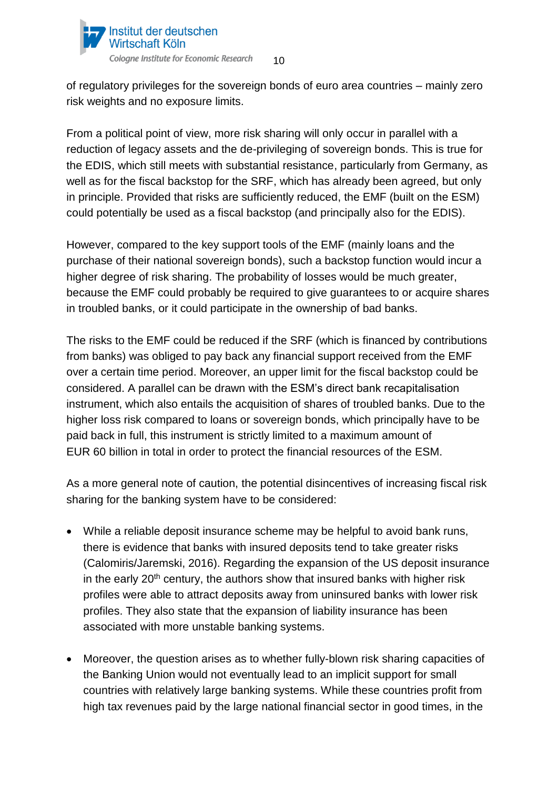

of regulatory privileges for the sovereign bonds of euro area countries – mainly zero risk weights and no exposure limits.

From a political point of view, more risk sharing will only occur in parallel with a reduction of legacy assets and the de-privileging of sovereign bonds. This is true for the EDIS, which still meets with substantial resistance, particularly from Germany, as well as for the fiscal backstop for the SRF, which has already been agreed, but only in principle. Provided that risks are sufficiently reduced, the EMF (built on the ESM) could potentially be used as a fiscal backstop (and principally also for the EDIS).

However, compared to the key support tools of the EMF (mainly loans and the purchase of their national sovereign bonds), such a backstop function would incur a higher degree of risk sharing. The probability of losses would be much greater, because the EMF could probably be required to give guarantees to or acquire shares in troubled banks, or it could participate in the ownership of bad banks.

The risks to the EMF could be reduced if the SRF (which is financed by contributions from banks) was obliged to pay back any financial support received from the EMF over a certain time period. Moreover, an upper limit for the fiscal backstop could be considered. A parallel can be drawn with the ESM's direct bank recapitalisation instrument, which also entails the acquisition of shares of troubled banks. Due to the higher loss risk compared to loans or sovereign bonds, which principally have to be paid back in full, this instrument is strictly limited to a maximum amount of EUR 60 billion in total in order to protect the financial resources of the ESM.

As a more general note of caution, the potential disincentives of increasing fiscal risk sharing for the banking system have to be considered:

- While a reliable deposit insurance scheme may be helpful to avoid bank runs, there is evidence that banks with insured deposits tend to take greater risks (Calomiris/Jaremski, 2016). Regarding the expansion of the US deposit insurance in the early  $20<sup>th</sup>$  century, the authors show that insured banks with higher risk profiles were able to attract deposits away from uninsured banks with lower risk profiles. They also state that the expansion of liability insurance has been associated with more unstable banking systems.
- Moreover, the question arises as to whether fully-blown risk sharing capacities of the Banking Union would not eventually lead to an implicit support for small countries with relatively large banking systems. While these countries profit from high tax revenues paid by the large national financial sector in good times, in the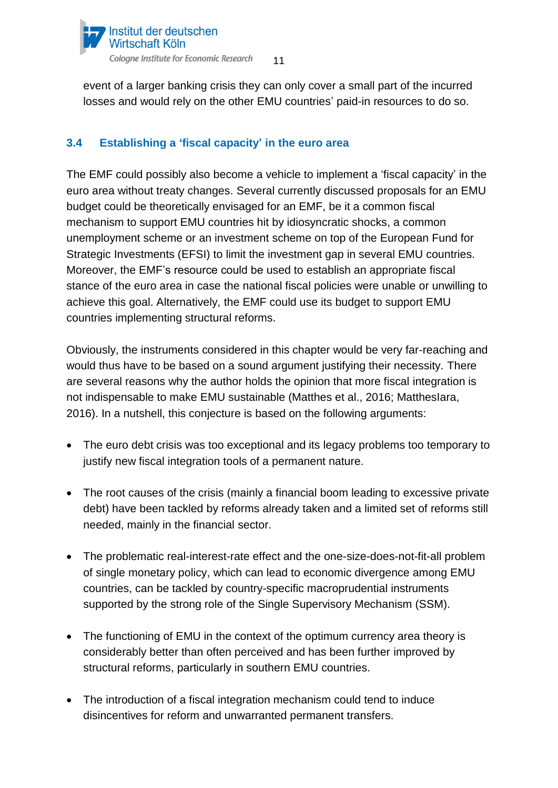

event of a larger banking crisis they can only cover a small part of the incurred losses and would rely on the other EMU countries' paid-in resources to do so.

# <span id="page-10-0"></span>**3.4 Establishing a 'fiscal capacity' in the euro area**

The EMF could possibly also become a vehicle to implement a 'fiscal capacity' in the euro area without treaty changes. Several currently discussed proposals for an EMU budget could be theoretically envisaged for an EMF, be it a common fiscal mechanism to support EMU countries hit by idiosyncratic shocks, a common unemployment scheme or an investment scheme on top of the European Fund for Strategic Investments (EFSI) to limit the investment gap in several EMU countries. Moreover, the EMF's resource could be used to establish an appropriate fiscal stance of the euro area in case the national fiscal policies were unable or unwilling to achieve this goal. Alternatively, the EMF could use its budget to support EMU countries implementing structural reforms.

Obviously, the instruments considered in this chapter would be very far-reaching and would thus have to be based on a sound argument justifying their necessity. There are several reasons why the author holds the opinion that more fiscal integration is not indispensable to make EMU sustainable (Matthes et al., 2016; MatthesIara, 2016). In a nutshell, this conjecture is based on the following arguments:

- The euro debt crisis was too exceptional and its legacy problems too temporary to justify new fiscal integration tools of a permanent nature.
- The root causes of the crisis (mainly a financial boom leading to excessive private debt) have been tackled by reforms already taken and a limited set of reforms still needed, mainly in the financial sector.
- The problematic real-interest-rate effect and the one-size-does-not-fit-all problem of single monetary policy, which can lead to economic divergence among EMU countries, can be tackled by country-specific macroprudential instruments supported by the strong role of the Single Supervisory Mechanism (SSM).
- The functioning of EMU in the context of the optimum currency area theory is considerably better than often perceived and has been further improved by structural reforms, particularly in southern EMU countries.
- The introduction of a fiscal integration mechanism could tend to induce disincentives for reform and unwarranted permanent transfers.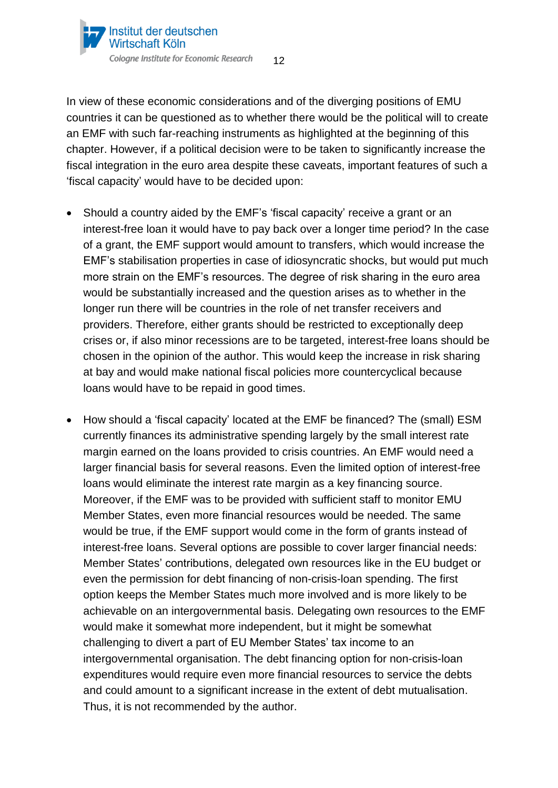

In view of these economic considerations and of the diverging positions of EMU countries it can be questioned as to whether there would be the political will to create an EMF with such far-reaching instruments as highlighted at the beginning of this chapter. However, if a political decision were to be taken to significantly increase the fiscal integration in the euro area despite these caveats, important features of such a 'fiscal capacity' would have to be decided upon:

- Should a country aided by the EMF's 'fiscal capacity' receive a grant or an interest-free loan it would have to pay back over a longer time period? In the case of a grant, the EMF support would amount to transfers, which would increase the EMF's stabilisation properties in case of idiosyncratic shocks, but would put much more strain on the EMF's resources. The degree of risk sharing in the euro area would be substantially increased and the question arises as to whether in the longer run there will be countries in the role of net transfer receivers and providers. Therefore, either grants should be restricted to exceptionally deep crises or, if also minor recessions are to be targeted, interest-free loans should be chosen in the opinion of the author. This would keep the increase in risk sharing at bay and would make national fiscal policies more countercyclical because loans would have to be repaid in good times.
- How should a 'fiscal capacity' located at the EMF be financed? The (small) ESM currently finances its administrative spending largely by the small interest rate margin earned on the loans provided to crisis countries. An EMF would need a larger financial basis for several reasons. Even the limited option of interest-free loans would eliminate the interest rate margin as a key financing source. Moreover, if the EMF was to be provided with sufficient staff to monitor EMU Member States, even more financial resources would be needed. The same would be true, if the EMF support would come in the form of grants instead of interest-free loans. Several options are possible to cover larger financial needs: Member States' contributions, delegated own resources like in the EU budget or even the permission for debt financing of non-crisis-loan spending. The first option keeps the Member States much more involved and is more likely to be achievable on an intergovernmental basis. Delegating own resources to the EMF would make it somewhat more independent, but it might be somewhat challenging to divert a part of EU Member States' tax income to an intergovernmental organisation. The debt financing option for non-crisis-loan expenditures would require even more financial resources to service the debts and could amount to a significant increase in the extent of debt mutualisation. Thus, it is not recommended by the author.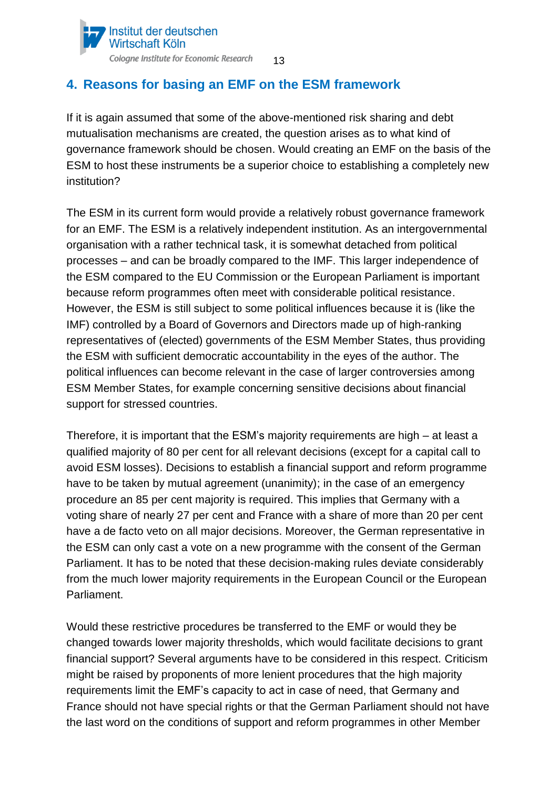

# <span id="page-12-0"></span>**4. Reasons for basing an EMF on the ESM framework**

If it is again assumed that some of the above-mentioned risk sharing and debt mutualisation mechanisms are created, the question arises as to what kind of governance framework should be chosen. Would creating an EMF on the basis of the ESM to host these instruments be a superior choice to establishing a completely new institution?

The ESM in its current form would provide a relatively robust governance framework for an EMF. The ESM is a relatively independent institution. As an intergovernmental organisation with a rather technical task, it is somewhat detached from political processes – and can be broadly compared to the IMF. This larger independence of the ESM compared to the EU Commission or the European Parliament is important because reform programmes often meet with considerable political resistance. However, the ESM is still subject to some political influences because it is (like the IMF) controlled by a Board of Governors and Directors made up of high-ranking representatives of (elected) governments of the ESM Member States, thus providing the ESM with sufficient democratic accountability in the eyes of the author. The political influences can become relevant in the case of larger controversies among ESM Member States, for example concerning sensitive decisions about financial support for stressed countries.

Therefore, it is important that the ESM's majority requirements are high – at least a qualified majority of 80 per cent for all relevant decisions (except for a capital call to avoid ESM losses). Decisions to establish a financial support and reform programme have to be taken by mutual agreement (unanimity); in the case of an emergency procedure an 85 per cent majority is required. This implies that Germany with a voting share of nearly 27 per cent and France with a share of more than 20 per cent have a de facto veto on all major decisions. Moreover, the German representative in the ESM can only cast a vote on a new programme with the consent of the German Parliament. It has to be noted that these decision-making rules deviate considerably from the much lower majority requirements in the European Council or the European Parliament.

Would these restrictive procedures be transferred to the EMF or would they be changed towards lower majority thresholds, which would facilitate decisions to grant financial support? Several arguments have to be considered in this respect. Criticism might be raised by proponents of more lenient procedures that the high majority requirements limit the EMF's capacity to act in case of need, that Germany and France should not have special rights or that the German Parliament should not have the last word on the conditions of support and reform programmes in other Member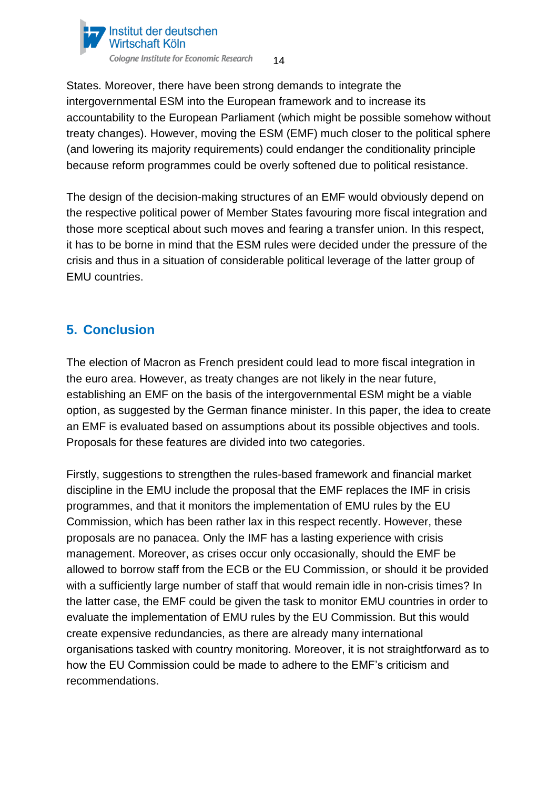

States. Moreover, there have been strong demands to integrate the intergovernmental ESM into the European framework and to increase its accountability to the European Parliament (which might be possible somehow without treaty changes). However, moving the ESM (EMF) much closer to the political sphere (and lowering its majority requirements) could endanger the conditionality principle because reform programmes could be overly softened due to political resistance.

The design of the decision-making structures of an EMF would obviously depend on the respective political power of Member States favouring more fiscal integration and those more sceptical about such moves and fearing a transfer union. In this respect, it has to be borne in mind that the ESM rules were decided under the pressure of the crisis and thus in a situation of considerable political leverage of the latter group of EMU countries.

# <span id="page-13-0"></span>**5. Conclusion**

The election of Macron as French president could lead to more fiscal integration in the euro area. However, as treaty changes are not likely in the near future, establishing an EMF on the basis of the intergovernmental ESM might be a viable option, as suggested by the German finance minister. In this paper, the idea to create an EMF is evaluated based on assumptions about its possible objectives and tools. Proposals for these features are divided into two categories.

Firstly, suggestions to strengthen the rules-based framework and financial market discipline in the EMU include the proposal that the EMF replaces the IMF in crisis programmes, and that it monitors the implementation of EMU rules by the EU Commission, which has been rather lax in this respect recently. However, these proposals are no panacea. Only the IMF has a lasting experience with crisis management. Moreover, as crises occur only occasionally, should the EMF be allowed to borrow staff from the ECB or the EU Commission, or should it be provided with a sufficiently large number of staff that would remain idle in non-crisis times? In the latter case, the EMF could be given the task to monitor EMU countries in order to evaluate the implementation of EMU rules by the EU Commission. But this would create expensive redundancies, as there are already many international organisations tasked with country monitoring. Moreover, it is not straightforward as to how the EU Commission could be made to adhere to the EMF's criticism and recommendations.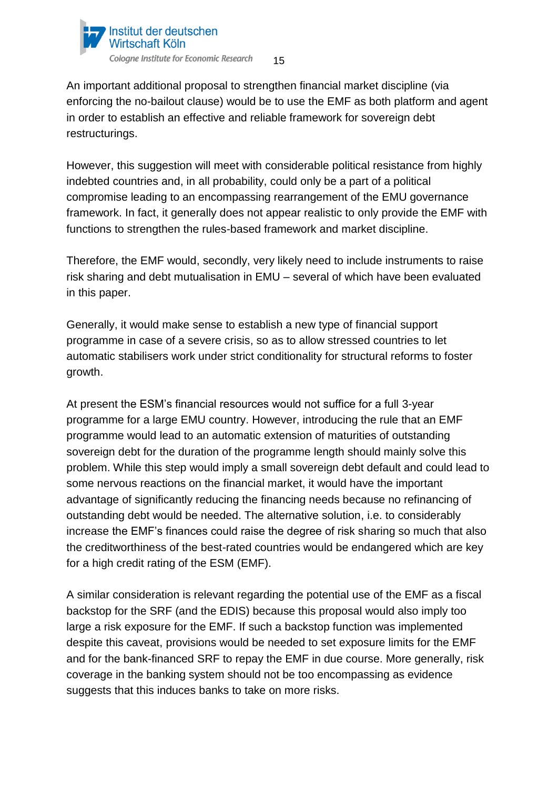

An important additional proposal to strengthen financial market discipline (via enforcing the no-bailout clause) would be to use the EMF as both platform and agent in order to establish an effective and reliable framework for sovereign debt restructurings.

However, this suggestion will meet with considerable political resistance from highly indebted countries and, in all probability, could only be a part of a political compromise leading to an encompassing rearrangement of the EMU governance framework. In fact, it generally does not appear realistic to only provide the EMF with functions to strengthen the rules-based framework and market discipline.

Therefore, the EMF would, secondly, very likely need to include instruments to raise risk sharing and debt mutualisation in EMU – several of which have been evaluated in this paper.

Generally, it would make sense to establish a new type of financial support programme in case of a severe crisis, so as to allow stressed countries to let automatic stabilisers work under strict conditionality for structural reforms to foster growth.

At present the ESM's financial resources would not suffice for a full 3-year programme for a large EMU country. However, introducing the rule that an EMF programme would lead to an automatic extension of maturities of outstanding sovereign debt for the duration of the programme length should mainly solve this problem. While this step would imply a small sovereign debt default and could lead to some nervous reactions on the financial market, it would have the important advantage of significantly reducing the financing needs because no refinancing of outstanding debt would be needed. The alternative solution, i.e. to considerably increase the EMF's finances could raise the degree of risk sharing so much that also the creditworthiness of the best-rated countries would be endangered which are key for a high credit rating of the ESM (EMF).

A similar consideration is relevant regarding the potential use of the EMF as a fiscal backstop for the SRF (and the EDIS) because this proposal would also imply too large a risk exposure for the EMF. If such a backstop function was implemented despite this caveat, provisions would be needed to set exposure limits for the EMF and for the bank-financed SRF to repay the EMF in due course. More generally, risk coverage in the banking system should not be too encompassing as evidence suggests that this induces banks to take on more risks.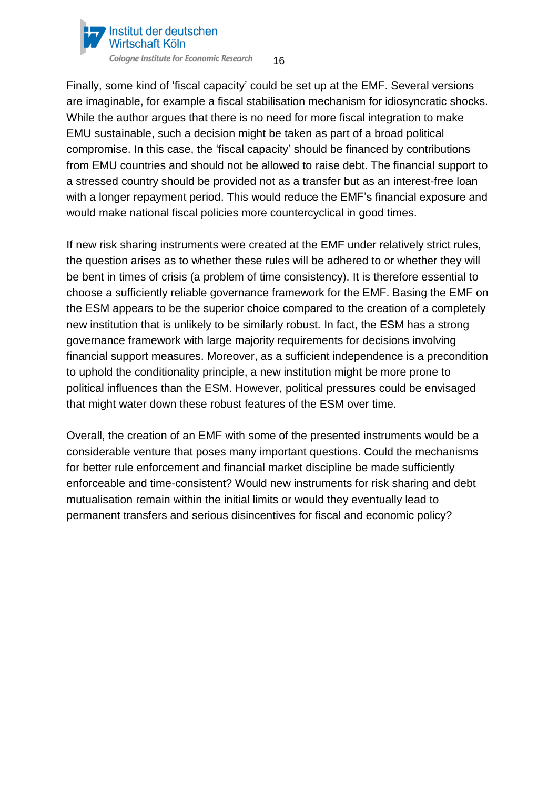

Finally, some kind of 'fiscal capacity' could be set up at the EMF. Several versions are imaginable, for example a fiscal stabilisation mechanism for idiosyncratic shocks. While the author argues that there is no need for more fiscal integration to make EMU sustainable, such a decision might be taken as part of a broad political compromise. In this case, the 'fiscal capacity' should be financed by contributions from EMU countries and should not be allowed to raise debt. The financial support to a stressed country should be provided not as a transfer but as an interest-free loan with a longer repayment period. This would reduce the EMF's financial exposure and would make national fiscal policies more countercyclical in good times.

If new risk sharing instruments were created at the EMF under relatively strict rules, the question arises as to whether these rules will be adhered to or whether they will be bent in times of crisis (a problem of time consistency). It is therefore essential to choose a sufficiently reliable governance framework for the EMF. Basing the EMF on the ESM appears to be the superior choice compared to the creation of a completely new institution that is unlikely to be similarly robust. In fact, the ESM has a strong governance framework with large majority requirements for decisions involving financial support measures. Moreover, as a sufficient independence is a precondition to uphold the conditionality principle, a new institution might be more prone to political influences than the ESM. However, political pressures could be envisaged that might water down these robust features of the ESM over time.

Overall, the creation of an EMF with some of the presented instruments would be a considerable venture that poses many important questions. Could the mechanisms for better rule enforcement and financial market discipline be made sufficiently enforceable and time-consistent? Would new instruments for risk sharing and debt mutualisation remain within the initial limits or would they eventually lead to permanent transfers and serious disincentives for fiscal and economic policy?